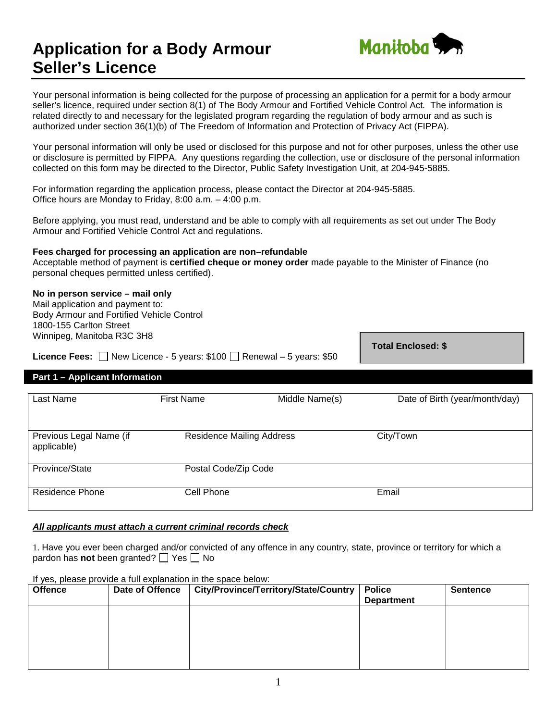# **Application for a Body Armour Seller's Licence**



Your personal information is being collected for the purpose of processing an application for a permit for a body armour seller's licence, required under section 8(1) of The Body Armour and Fortified Vehicle Control Act*.* The information is related directly to and necessary for the legislated program regarding the regulation of body armour and as such is authorized under section 36(1)(b) of The Freedom of Information and Protection of Privacy Act (FIPPA).

Your personal information will only be used or disclosed for this purpose and not for other purposes, unless the other use or disclosure is permitted by FIPPA. Any questions regarding the collection, use or disclosure of the personal information collected on this form may be directed to the Director, Public Safety Investigation Unit, at 204-945-5885.

For information regarding the application process, please contact the Director at 204-945-5885. Office hours are Monday to Friday, 8:00 a.m. – 4:00 p.m.

Before applying, you must read, understand and be able to comply with all requirements as set out under The Body Armour and Fortified Vehicle Control Act and regulations.

### **Fees charged for processing an application are non–refundable**

Acceptable method of payment is **certified cheque or money order** made payable to the Minister of Finance (no personal cheques permitted unless certified).

### **No in person service – mail only**

Mail application and payment to: Body Armour and Fortified Vehicle Control 1800-155 Carlton Street Winnipeg, Manitoba R3C 3H8

**Licence Fees:**  $\Box$  New Licence - 5 years: \$100  $\Box$  Renewal – 5 years: \$50

**Total Enclosed: \$**

# **Part 1 – Applicant Information**

| Last Name                              | <b>First Name</b>                | Middle Name(s) | Date of Birth (year/month/day) |
|----------------------------------------|----------------------------------|----------------|--------------------------------|
|                                        |                                  |                |                                |
|                                        |                                  |                |                                |
| Previous Legal Name (if<br>applicable) | <b>Residence Mailing Address</b> |                | City/Town                      |
| Province/State                         | Postal Code/Zip Code             |                |                                |
| Residence Phone                        | Cell Phone                       |                | Email                          |

### *All applicants must attach a current criminal records check*

1. Have you ever been charged and/or convicted of any offence in any country, state, province or territory for which a pardon has **not** been granted?  $\Box$  Yes  $\Box$  No

### If yes, please provide a full explanation in the space below:

| <b>Offence</b> | Date of Offence | City/Province/Territory/State/Country | <b>Police</b><br><b>Department</b> | <b>Sentence</b> |
|----------------|-----------------|---------------------------------------|------------------------------------|-----------------|
|                |                 |                                       |                                    |                 |
|                |                 |                                       |                                    |                 |
|                |                 |                                       |                                    |                 |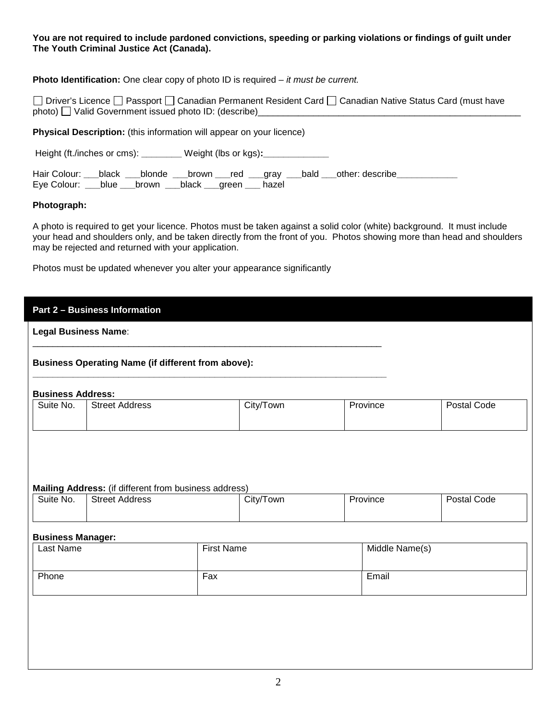### **You are not required to include pardoned convictions, speeding or parking violations or findings of guilt under The Youth Criminal Justice Act (Canada).**

**Photo Identification:** One clear copy of photo ID is required – *it must be current.*

□ Driver's Licence □ Passport □ Canadian Permanent Resident Card □ Canadian Native Status Card (must have photo) Valid Government issued photo ID: (describe)

**Physical Description:** (this information will appear on your licence)

Height (ft./inches or cms): **\_\_\_\_\_\_\_\_** Weight (lbs or kgs)**:\_\_\_\_\_\_\_\_\_\_\_\_\_**

|                                                          |  |  |  | Hair Colour: ___black ___blonde ___brown ___red ___gray ___bald ___other: describe |  |
|----------------------------------------------------------|--|--|--|------------------------------------------------------------------------------------|--|
| Eye Colour: ___blue ___brown ___black ___green ___ hazel |  |  |  |                                                                                    |  |

### **Photograph:**

A photo is required to get your licence. Photos must be taken against a solid color (white) background. It must include your head and shoulders only, and be taken directly from the front of you. Photos showing more than head and shoulders may be rejected and returned with your application.

Photos must be updated whenever you alter your appearance significantly

|                          | <b>Legal Business Name:</b>                                                    |  |           |  |                |             |
|--------------------------|--------------------------------------------------------------------------------|--|-----------|--|----------------|-------------|
|                          | <b>Business Operating Name (if different from above):</b>                      |  |           |  |                |             |
| <b>Business Address:</b> |                                                                                |  |           |  |                |             |
| Suite No.                | <b>Street Address</b>                                                          |  | City/Town |  | Province       | Postal Code |
|                          |                                                                                |  |           |  |                |             |
| Suite No.                | Mailing Address: (if different from business address)<br><b>Street Address</b> |  | City/Town |  | Province       | Postal Code |
|                          |                                                                                |  |           |  |                |             |
| <b>Business Manager:</b> |                                                                                |  |           |  |                |             |
| <b>Last Name</b>         | <b>First Name</b>                                                              |  |           |  | Middle Name(s) |             |
| Phone<br>Fax             |                                                                                |  |           |  | Email          |             |
|                          |                                                                                |  |           |  |                |             |
|                          |                                                                                |  |           |  |                |             |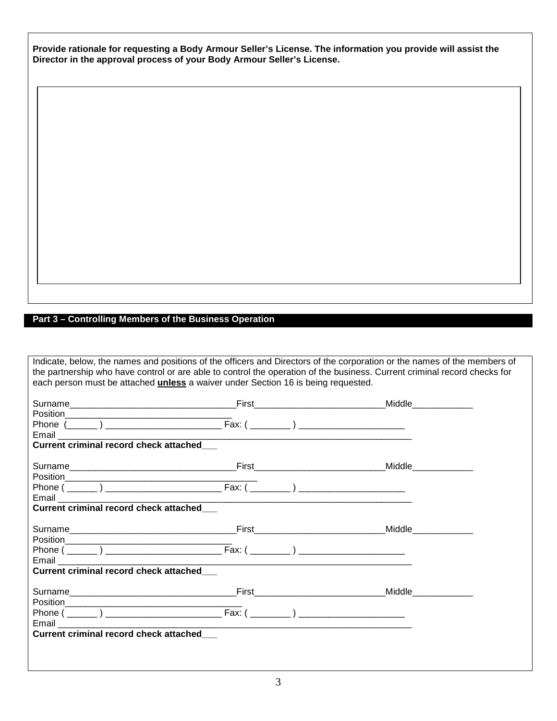**Provide rationale for requesting a Body Armour Seller's License. The information you provide will assist the Director in the approval process of your Body Armour Seller's License.**

# **Part 3 – Controlling Members of the Business Operation**

Indicate, below, the names and positions of the officers and Directors of the corporation or the names of the members of the partnership who have control or are able to control the operation of the business. Current criminal record checks for each person must be attached **unless** a waiver under Section 16 is being requested.

| <b>Current criminal record check attached</b>                                                                                                                                                                                                                                                                                                                                                                                                                                                                                                  |                      |
|------------------------------------------------------------------------------------------------------------------------------------------------------------------------------------------------------------------------------------------------------------------------------------------------------------------------------------------------------------------------------------------------------------------------------------------------------------------------------------------------------------------------------------------------|----------------------|
|                                                                                                                                                                                                                                                                                                                                                                                                                                                                                                                                                |                      |
|                                                                                                                                                                                                                                                                                                                                                                                                                                                                                                                                                |                      |
|                                                                                                                                                                                                                                                                                                                                                                                                                                                                                                                                                |                      |
|                                                                                                                                                                                                                                                                                                                                                                                                                                                                                                                                                |                      |
| <b>Current criminal record check attached</b>                                                                                                                                                                                                                                                                                                                                                                                                                                                                                                  |                      |
|                                                                                                                                                                                                                                                                                                                                                                                                                                                                                                                                                |                      |
|                                                                                                                                                                                                                                                                                                                                                                                                                                                                                                                                                |                      |
|                                                                                                                                                                                                                                                                                                                                                                                                                                                                                                                                                |                      |
| Email <b>Exercise Service Service Service</b>                                                                                                                                                                                                                                                                                                                                                                                                                                                                                                  |                      |
| Current criminal record check attached_                                                                                                                                                                                                                                                                                                                                                                                                                                                                                                        |                      |
|                                                                                                                                                                                                                                                                                                                                                                                                                                                                                                                                                | <b>Middle Middle</b> |
| $\begin{array}{c}\n\text{Position}\n\end{array}\n\begin{array}{c}\n\text{position}\n\end{array}\n\begin{array}{c}\n\text{position}\n\end{array}\n\begin{array}{c}\n\text{position}\n\end{array}\n\begin{array}{c}\n\text{position}\n\end{array}\n\begin{array}{c}\n\text{position}\n\end{array}\n\begin{array}{c}\n\text{position}\n\end{array}\n\end{array}\n\begin{array}{c}\n\text{position}\n\end{array}\n\begin{array}{c}\n\text{position}\n\end{array}\n\begin{array}{c}\n\text{position}\n\end{array}\n\end{array}\n\begin{array}{c}\n$ |                      |
|                                                                                                                                                                                                                                                                                                                                                                                                                                                                                                                                                |                      |
| Email <b>Exercise Contract Contract Contract Contract Contract Contract Contract Contract Contract Contract Contract Contract Contract Contract Contract Contract Contract Contract Contract Contract Contract Contract Contract</b>                                                                                                                                                                                                                                                                                                           |                      |
| Current criminal record check attached__                                                                                                                                                                                                                                                                                                                                                                                                                                                                                                       |                      |
|                                                                                                                                                                                                                                                                                                                                                                                                                                                                                                                                                |                      |
|                                                                                                                                                                                                                                                                                                                                                                                                                                                                                                                                                |                      |
|                                                                                                                                                                                                                                                                                                                                                                                                                                                                                                                                                |                      |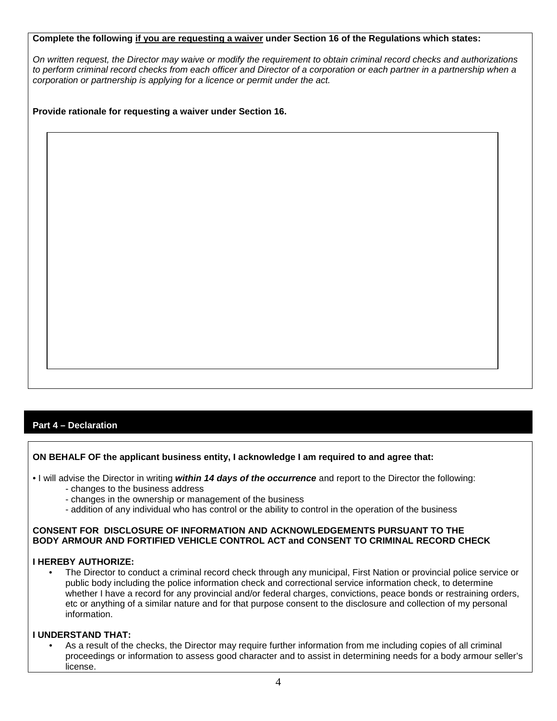### **Complete the following if you are requesting a waiver under Section 16 of the Regulations which states:**

*On written request, the Director may waive or modify the requirement to obtain criminal record checks and authorizations to perform criminal record checks from each officer and Director of a corporation or each partner in a partnership when a corporation or partnership is applying for a licence or permit under the act.*

**Provide rationale for requesting a waiver under Section 16.**

# **Part 4 – Declaration**

### **ON BEHALF OF the applicant business entity, I acknowledge I am required to and agree that:**

• I will advise the Director in writing *within 14 days of the occurrence* and report to the Director the following:

- changes to the business address
- changes in the ownership or management of the business
- addition of any individual who has control or the ability to control in the operation of the business

### **CONSENT FOR DISCLOSURE OF INFORMATION AND ACKNOWLEDGEMENTS PURSUANT TO THE BODY ARMOUR AND FORTIFIED VEHICLE CONTROL ACT and CONSENT TO CRIMINAL RECORD CHECK**

### **I HEREBY AUTHORIZE:**

• The Director to conduct a criminal record check through any municipal, First Nation or provincial police service or public body including the police information check and correctional service information check, to determine whether I have a record for any provincial and/or federal charges, convictions, peace bonds or restraining orders, etc or anything of a similar nature and for that purpose consent to the disclosure and collection of my personal information.

### **I UNDERSTAND THAT:**

• As a result of the checks, the Director may require further information from me including copies of all criminal proceedings or information to assess good character and to assist in determining needs for a body armour seller's license.